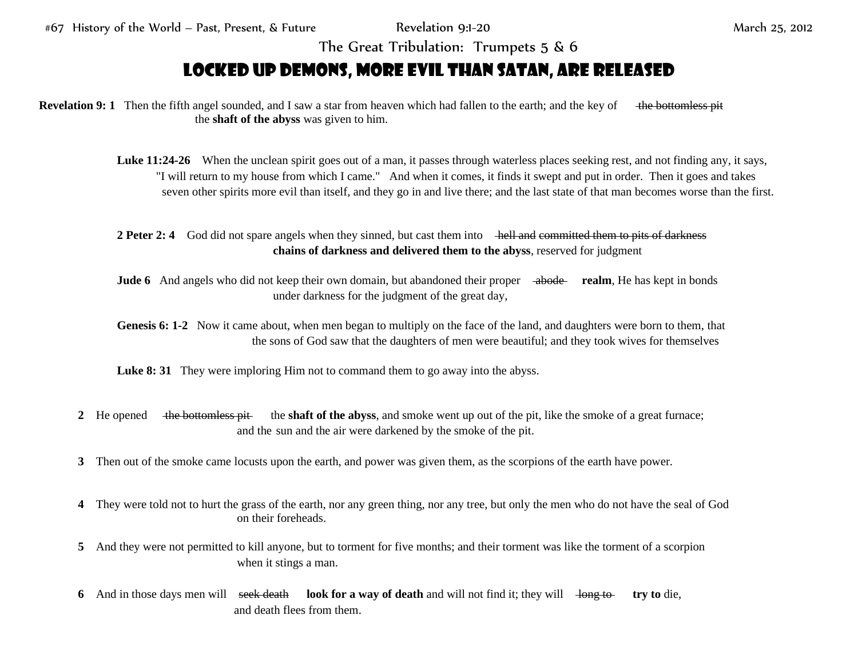#67 History of the World – Past, Present, & Future Revelation 9:1-20 March 25, 2012

The Great Tribulation: Trumpets 5 & 6

## Locked up Demons, more Evil than Satan, are Released

**Revelation 9: 1** Then the fifth angel sounded, and I saw a star from heaven which had fallen to the earth; and the key of the bottomless pit the **shaft of the abyss** was given to him.

- Luke 11:24-26 When the unclean spirit goes out of a man, it passes through waterless places seeking rest, and not finding any, it says, "I will return to my house from which I came." And when it comes, it finds it swept and put in order. Then it goes and takes seven other spirits more evil than itself, and they go in and live there; and the last state of that man becomes worse than the first.
- **2 Peter 2: 4** God did not spare angels when they sinned, but cast them into hell and committed them to pits of darkness **chains of darkness and delivered them to the abyss**, reserved for judgment
- **Jude 6** And angels who did not keep their own domain, but abandoned their proper abode realm, He has kept in bonds under darkness for the judgment of the great day,
- **Genesis 6: 1-2** Now it came about, when men began to multiply on the face of the land, and daughters were born to them, that the sons of God saw that the daughters of men were beautiful; and they took wives for themselves

**Luke 8: 31** They were imploring Him not to command them to go away into the abyss.

- **2** He opened the bottomless pit the **shaft of the abyss**, and smoke went up out of the pit, like the smoke of a great furnace; and the sun and the air were darkened by the smoke of the pit.
- **3** Then out of the smoke came locusts upon the earth, and power was given them, as the scorpions of the earth have power.
- **4** They were told not to hurt the grass of the earth, nor any green thing, nor any tree, but only the men who do not have the seal of God on their foreheads.
- **5** And they were not permitted to kill anyone, but to torment for five months; and their torment was like the torment of a scorpion when it stings a man.
- **6** And in those days men will seek death look for a way of death and will not find it; they will long to try to die, and death flees from them.